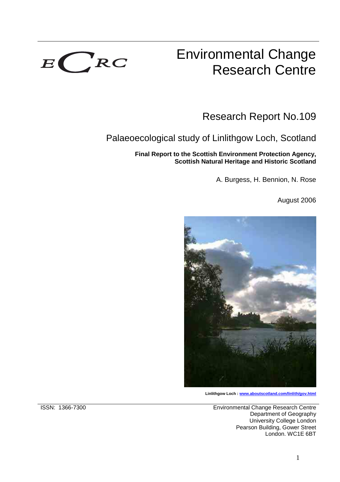

# Environmental Change Research Centre

Research Report No.109

# Palaeoecological study of Linlithgow Loch, Scotland

**Final Report to the Scottish Environment Protection Agency, Scottish Natural Heritage and Historic Scotland** 

A. Burgess, H. Bennion, N. Rose

August 2006



**Linlithgow Loch : www.aboutscotland.com/linlith/gov.html**

ISSN: 1366-7300 Environmental Change Research Centre Department of Geography University College London Pearson Building, Gower Street London. WC1E 6BT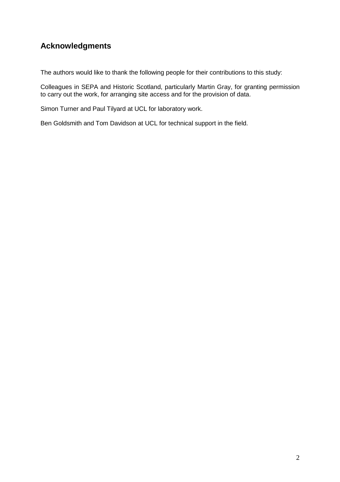# **Acknowledgments**

The authors would like to thank the following people for their contributions to this study:

Colleagues in SEPA and Historic Scotland, particularly Martin Gray, for granting permission to carry out the work, for arranging site access and for the provision of data.

Simon Turner and Paul Tilyard at UCL for laboratory work.

Ben Goldsmith and Tom Davidson at UCL for technical support in the field.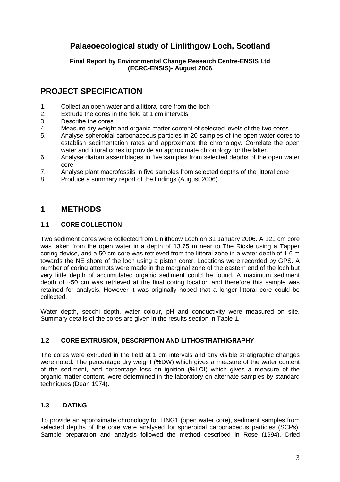# **Palaeoecological study of Linlithgow Loch, Scotland**

## **Final Report by Environmental Change Research Centre-ENSIS Ltd (ECRC-ENSIS)- August 2006**

# **PROJECT SPECIFICATION**

- 1. Collect an open water and a littoral core from the loch
- 2. Extrude the cores in the field at 1 cm intervals
- 3. Describe the cores
- 4. Measure dry weight and organic matter content of selected levels of the two cores
- 5. Analyse spheroidal carbonaceous particles in 20 samples of the open water cores to establish sedimentation rates and approximate the chronology. Correlate the open water and littoral cores to provide an approximate chronology for the latter.
- 6. Analyse diatom assemblages in five samples from selected depths of the open water core
- 7. Analyse plant macrofossils in five samples from selected depths of the littoral core
- 8. Produce a summary report of the findings (August 2006).

# **1 METHODS**

## **1.1 CORE COLLECTION**

Two sediment cores were collected from Linlithgow Loch on 31 January 2006. A 121 cm core was taken from the open water in a depth of 13.75 m near to The Rickle using a Tapper coring device, and a 50 cm core was retrieved from the littoral zone in a water depth of 1.6 m towards the NE shore of the loch using a piston corer. Locations were recorded by GPS. A number of coring attempts were made in the marginal zone of the eastern end of the loch but very little depth of accumulated organic sediment could be found. A maximum sediment depth of ~50 cm was retrieved at the final coring location and therefore this sample was retained for analysis. However it was originally hoped that a longer littoral core could be collected.

Water depth, secchi depth, water colour, pH and conductivity were measured on site. Summary details of the cores are given in the results section in Table 1.

## **1.2 CORE EXTRUSION, DESCRIPTION AND LITHOSTRATHIGRAPHY**

The cores were extruded in the field at 1 cm intervals and any visible stratigraphic changes were noted. The percentage dry weight (%DW) which gives a measure of the water content of the sediment, and percentage loss on ignition (%LOI) which gives a measure of the organic matter content, were determined in the laboratory on alternate samples by standard techniques (Dean 1974).

## **1.3 DATING**

To provide an approximate chronology for LING1 (open water core), sediment samples from selected depths of the core were analysed for spheroidal carbonaceous particles (SCPs). Sample preparation and analysis followed the method described in Rose (1994). Dried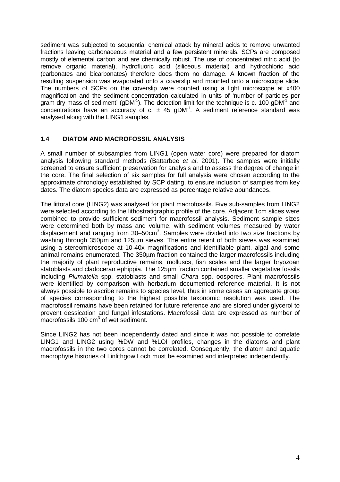sediment was subjected to sequential chemical attack by mineral acids to remove unwanted fractions leaving carbonaceous material and a few persistent minerals. SCPs are composed mostly of elemental carbon and are chemically robust. The use of concentrated nitric acid (to remove organic material), hydrofluoric acid (siliceous material) and hydrochloric acid (carbonates and bicarbonates) therefore does them no damage. A known fraction of the resulting suspension was evaporated onto a coverslip and mounted onto a microscope slide. The numbers of SCPs on the coverslip were counted using a light microscope at x400 magnification and the sediment concentration calculated in units of 'number of particles per gram dry mass of sediment' (gDM<sup>-1</sup>). The detection limit for the technique is c. 100 gDM<sup>-1</sup> and concentrations have an accuracy of c.  $\pm$  45 gDM<sup>-1</sup>. A sediment reference standard was analysed along with the LING1 samples.

## **1.4 DIATOM AND MACROFOSSIL ANALYSIS**

A small number of subsamples from LING1 (open water core) were prepared for diatom analysis following standard methods (Battarbee et al. 2001). The samples were initially screened to ensure sufficient preservation for analysis and to assess the degree of change in the core. The final selection of six samples for full analysis were chosen according to the approximate chronology established by SCP dating, to ensure inclusion of samples from key dates. The diatom species data are expressed as percentage relative abundances.

The littoral core (LING2) was analysed for plant macrofossils. Five sub-samples from LING2 were selected according to the lithostratigraphic profile of the core. Adjacent 1cm slices were combined to provide sufficient sediment for macrofossil analysis. Sediment sample sizes were determined both by mass and volume, with sediment volumes measured by water displacement and ranging from 30–50cm<sup>3</sup>. Samples were divided into two size fractions by washing through 350um and 125um sieves. The entire retent of both sieves was examined using a stereomicroscope at 10-40x magnifications and identifiable plant, algal and some animal remains enumerated. The 350µm fraction contained the larger macrofossils including the majority of plant reproductive remains, molluscs, fish scales and the larger bryozoan statoblasts and cladoceran ephippia. The 125µm fraction contained smaller vegetative fossils including Plumatella spp. statoblasts and small Chara spp. oospores. Plant macrofossils were identified by comparison with herbarium documented reference material. It is not always possible to ascribe remains to species level, thus in some cases an aggregate group of species corresponding to the highest possible taxonomic resolution was used. The macrofossil remains have been retained for future reference and are stored under glycerol to prevent dessication and fungal infestations. Macrofossil data are expressed as number of macrofossils 100 cm<sup>3</sup> of wet sediment.

Since LING2 has not been independently dated and since it was not possible to correlate LING1 and LING2 using %DW and %LOI profiles, changes in the diatoms and plant macrofossils in the two cores cannot be correlated. Consequently, the diatom and aquatic macrophyte histories of Linlithgow Loch must be examined and interpreted independently.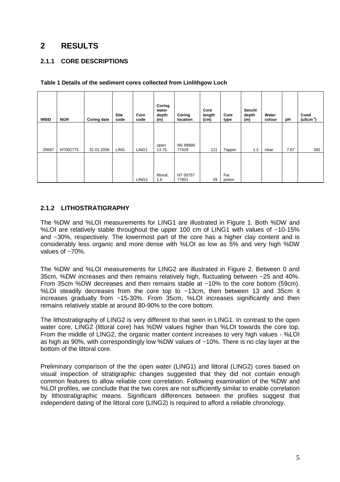# **2 RESULTS**

## **2.1.1 CORE DESCRIPTIONS**

| <b>WBID</b> | <b>NGR</b> | <b>Coring date</b> | <b>Site</b><br>code | Core<br>code      | Coring<br>water<br>depth<br>(m) | Coring<br>location       | Core<br>length<br>(cm) | Core<br>type  | Secchi<br>depth<br>(m) | Water<br>colour | рH   | Cond<br>$($ uScm $^{-1}$ ) |
|-------------|------------|--------------------|---------------------|-------------------|---------------------------------|--------------------------|------------------------|---------------|------------------------|-----------------|------|----------------------------|
| 25687       | NT002775   | 31.01.2006         | <b>LING</b>         | LING1             | open:<br>13.75                  | <b>NS 99990</b><br>77428 | 121                    | Tapper        | 1.2                    | clear           | 7.67 | 392                        |
|             |            |                    |                     | LING <sub>2</sub> | littoral:<br>1.6                | NT 00757<br>77801        | 59                     | Fat<br>piston |                        |                 |      |                            |

#### **Table 1 Details of the sediment cores collected from Linlithgow Loch**

## **2.1.2 LITHOSTRATIGRAPHY**

The %DW and %LOI measurements for LING1 are illustrated in Figure 1. Both %DW and %LOI are relatively stable throughout the upper 100 cm of LING1 with values of  $~10-15\%$ and ~30%, respectively. The lowermost part of the core has a higher clay content and is considerably less organic and more dense with %LOI as low as 5% and very high %DW values of ~70%.

The %DW and %LOI measurements for LING2 are illustrated in Figure 2. Between 0 and 35cm, %DW increases and then remains relatively high, fluctuating between ~25 and 40%. From 35cm %DW decreases and then remains stable at ~10% to the core bottom (59cm). %LOI steadily decreases from the core top to ~13cm, then between 13 and 35cm it increases gradually from ~15-30%. From 35cm, %LOI increases significantly and then remains relatively stable at around 80-90% to the core bottom.

The lithostratigraphy of LING2 is very different to that seen in LING1. In contrast to the open water core, LING2 (littoral core) has %DW values higher than %LOI towards the core top. From the middle of LING2, the organic matter content increases to very high values - %LOI as high as 90%, with correspondingly low %DW values of ~10%. There is no clay layer at the bottom of the littoral core.

Preliminary comparison of the the open water (LING1) and littoral (LING2) cores based on visual inspection of stratigraphic changes suggested that they did not contain enough common features to allow reliable core correlation. Following examination of the %DW and %LOI profiles, we conclude that the two cores are not sufficiently similar to enable correlation by lithostratigraphic means. Significant differences between the profiles suggest that independent dating of the littoral core (LING2) is required to afford a reliable chronology.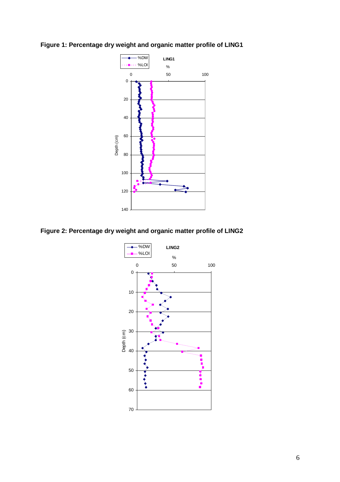

**Figure 1: Percentage dry weight and organic matter profile of LING1** 



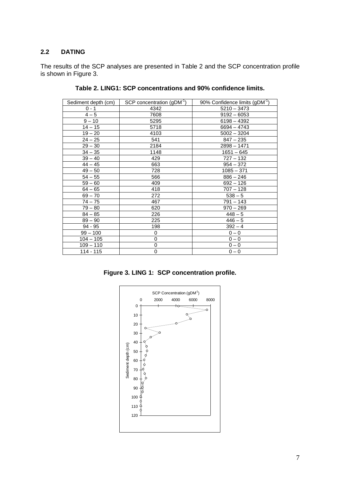#### **2.2 DATING**

The results of the SCP analyses are presented in Table 2 and the SCP concentration profile is shown in Figure 3.

| Sediment depth (cm) | SCP concentration $(gDM^{-1})$ | 90% Confidence limits (gDM <sup>-1</sup> ) |
|---------------------|--------------------------------|--------------------------------------------|
| $0 - 1$             | 4342                           | $5210 - 3473$                              |
| $4 - 5$             | 7608                           | $9192 - 6053$                              |
| $9 - 10$            | 5295                           | $6198 - 4392$                              |
| $14 - 15$           | 5718                           | $6694 - 4743$                              |
| $19 - 20$           | 4103                           | $5002 - 3204$                              |
| $24 - 25$           | 541                            | $847 - 235$                                |
| $29 - 30$           | 2184                           | $2898 - 1471$                              |
| $34 - 35$           | 1148                           | $1651 - 645$                               |
| $39 - 40$           | 429                            | $727 - 132$                                |
| $44 - 45$           | 663                            | $954 - 372$                                |
| $49 - 50$           | 728                            | $1085 - 371$                               |
| $54 - 55$           | 566                            | $886 - 246$                                |
| $59 - 60$           | 409                            | $692 - 126$                                |
| $64 - 65$           | 418                            | $707 - 128$                                |
| $69 - 70$           | 272                            | $538 - 5$                                  |
| $74 - 75$           | 467                            | $791 - 143$                                |
| $79 - 80$           | 620                            | $970 - 269$                                |
| $84 - 85$           | 226                            | $448 - 5$                                  |
| $89 - 90$           | 225                            | $446 - 5$                                  |
| $94 - 95$           | 198                            | $392 - 4$                                  |
| $99 - 100$          | 0                              | $0 - 0$                                    |
| $104 - 105$         | 0                              | $0 - 0$                                    |
| $109 - 110$         | 0                              | $0 - 0$                                    |
| $114 - 115$         | 0                              | $0 - 0$                                    |

**Table 2. LING1: SCP concentrations and 90% confidence limits.** 

**Figure 3. LING 1: SCP concentration profile.** 

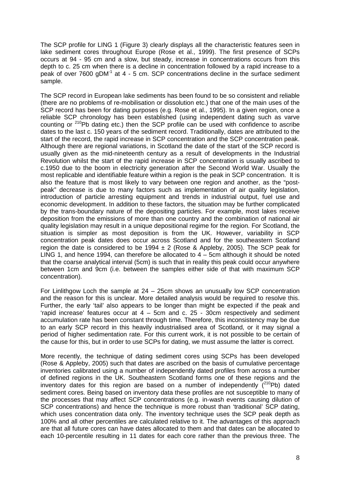The SCP profile for LING 1 (Figure 3) clearly displays all the characteristic features seen in lake sediment cores throughout Europe (Rose et al., 1999). The first presence of SCPs occurs at 94 - 95 cm and a slow, but steady, increase in concentrations occurs from this depth to c. 25 cm when there is a decline in concentration followed by a rapid increase to a peak of over 7600 gDM<sup>-1</sup> at 4 - 5 cm. SCP concentrations decline in the surface sediment sample.

The SCP record in European lake sediments has been found to be so consistent and reliable (there are no problems of re-mobilisation or dissolution etc.) that one of the main uses of the SCP record has been for dating purposes (e.g. Rose et al., 1995). In a given region, once a reliable SCP chronology has been established (using independent dating such as varve counting or  $210Pb$  dating etc.) then the SCP profile can be used with confidence to ascribe dates to the last c. 150 years of the sediment record. Traditionally, dates are attributed to the start of the record, the rapid increase in SCP concentration and the SCP concentration peak. Although there are regional variations, in Scotland the date of the start of the SCP record is usually given as the mid-nineteenth century as a result of developments in the Industrial Revolution whilst the start of the rapid increase in SCP concentration is usually ascribed to c.1950 due to the boom in electricity generation after the Second World War. Usually the most replicable and identifiable feature within a region is the peak in SCP concentration. It is also the feature that is most likely to vary between one region and another, as the "postpeak" decrease is due to many factors such as implementation of air quality legislation, introduction of particle arresting equipment and trends in industrial output, fuel use and economic development. In addition to these factors, the situation may be further complicated by the trans-boundary nature of the depositing particles. For example, most lakes receive deposition from the emissions of more than one country and the combination of national air quality legislation may result in a unique depositional regime for the region. For Scotland, the situation is simpler as most deposition is from the UK. However, variability in SCP concentration peak dates does occur across Scotland and for the southeastern Scotland region the date is considered to be 1994  $\pm$  2 (Rose & Appleby, 2005). The SCP peak for LING 1, and hence 1994, can therefore be allocated to  $4 - 5$ cm although it should be noted that the coarse analytical interval (5cm) is such that in reality this peak could occur anywhere between 1cm and 9cm (i.e. between the samples either side of that with maximum SCP concentration).

For Linlithgow Loch the sample at 24 – 25cm shows an unusually low SCP concentration and the reason for this is unclear. More detailed analysis would be required to resolve this. Further, the early 'tail' also appears to be longer than might be expected if the peak and 'rapid increase' features occur at 4 – 5cm and c. 25 - 30cm respectively and sediment accumulation rate has been constant through time. Therefore, this inconsistency may be due to an early SCP record in this heavily industrialised area of Scotland, or it may signal a period of higher sedimentation rate. For this current work, it is not possible to be certain of the cause for this, but in order to use SCPs for dating, we must assume the latter is correct.

More recently, the technique of dating sediment cores using SCPs has been developed (Rose & Appleby, 2005) such that dates are ascribed on the basis of cumulative percentage inventories calibrated using a number of independently dated profiles from across a number of defined regions in the UK. Southeastern Scotland forms one of these regions and the inventory dates for this region are based on a number of independently  $(^{210}Pb)$  dated sediment cores. Being based on inventory data these profiles are not susceptible to many of the processes that may affect SCP concentrations (e.g. in-wash events causing dilution of SCP concentrations) and hence the technique is more robust than 'traditional' SCP dating, which uses concentration data only. The inventory technique uses the SCP peak depth as 100% and all other percentiles are calculated relative to it. The advantages of this approach are that all future cores can have dates allocated to them and that dates can be allocated to each 10-percentile resulting in 11 dates for each core rather than the previous three. The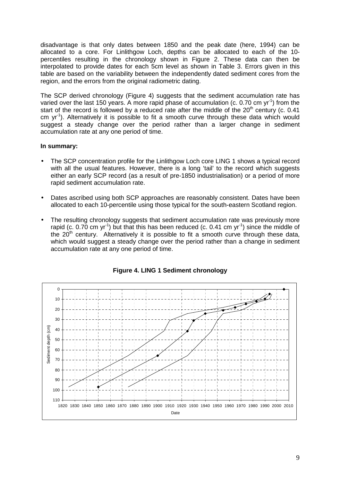disadvantage is that only dates between 1850 and the peak date (here, 1994) can be allocated to a core. For Linlithgow Loch, depths can be allocated to each of the 10 percentiles resulting in the chronology shown in Figure 2. These data can then be interpolated to provide dates for each 5cm level as shown in Table 3. Errors given in this table are based on the variability between the independently dated sediment cores from the region, and the errors from the original radiometric dating.

The SCP derived chronology (Figure 4) suggests that the sediment accumulation rate has varied over the last 150 years. A more rapid phase of accumulation (c. 0.70 cm yr<sup>-1</sup>) from the start of the record is followed by a reduced rate after the middle of the  $20<sup>th</sup>$  century (c. 0.41  $cm \ yr^{-1}$ . Alternatively it is possible to fit a smooth curve through these data which would suggest a steady change over the period rather than a larger change in sediment accumulation rate at any one period of time.

#### **In summary:**

- The SCP concentration profile for the Linlithgow Loch core LING 1 shows a typical record with all the usual features. However, there is a long 'tail' to the record which suggests either an early SCP record (as a result of pre-1850 industrialisation) or a period of more rapid sediment accumulation rate.
- Dates ascribed using both SCP approaches are reasonably consistent. Dates have been allocated to each 10-percentile using those typical for the south-eastern Scotland region.
- The resulting chronology suggests that sediment accumulation rate was previously more rapid (c. 0.70 cm yr<sup>-1</sup>) but that this has been reduced (c. 0.41 cm yr<sup>-1</sup>) since the middle of the  $20<sup>th</sup>$  century. Alternatively it is possible to fit a smooth curve through these data, which would suggest a steady change over the period rather than a change in sediment accumulation rate at any one period of time.



**Figure 4. LING 1 Sediment chronology**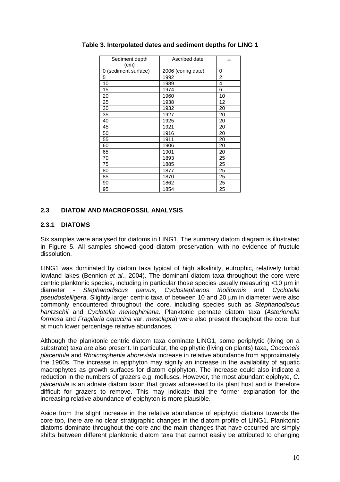| Sediment depth<br>(cm)  | Ascribed date      | 土              |
|-------------------------|--------------------|----------------|
| (sediment surface)<br>0 | 2006 (coring date) | 0              |
| 5                       | 1992               | $\overline{c}$ |
| 10                      | 1989               | $\overline{4}$ |
| 15                      | 1974               | 6              |
| 20                      | 1960               | 10             |
| 25                      | 1938               | 12             |
| 30                      | 1932               | 20             |
| 35                      | 1927               | 20             |
| 40                      | 1925               | 20             |
| 45                      | 1921               | 20             |
| 50                      | 1916               | 20             |
| 55                      | 1911               | 20             |
| 60                      | 1906               | 20             |
| 65                      | 1901               | 20             |
| 70                      | 1893               | 25             |
| 75                      | 1885               | 25             |
| 80                      | 1877               | 25             |
| 85                      | 1870               | 25             |
| 90                      | 1862               | 25             |
| 95                      | 1854               | 25             |

## **Table 3. Interpolated dates and sediment depths for LING 1**

## **2.3 DIATOM AND MACROFOSSIL ANALYSIS**

#### **2.3.1 DIATOMS**

Six samples were analysed for diatoms in LING1. The summary diatom diagram is illustrated in Figure 5. All samples showed good diatom preservation, with no evidence of frustule dissolution.

LING1 was dominated by diatom taxa typical of high alkalinity, eutrophic, relatively turbid lowland lakes (Bennion et al., 2004). The dominant diatom taxa throughout the core were centric planktonic species, including in particular those species usually measuring <10 µm in diameter - Stephanodiscus parvus, Cyclostephanos tholiformis and Cyclotella pseudostelligera. Slightly larger centric taxa of between 10 and 20 µm in diameter were also commonly encountered throughout the core, including species such as Stephanodiscus hantzschii and Cyclotella meneghiniana. Planktonic pennate diatom taxa (Asterionella formosa and Fragilaria capucina var. mesolepta) were also present throughout the core, but at much lower percentage relative abundances.

Although the planktonic centric diatom taxa dominate LING1, some periphytic (living on a substrate) taxa are also present. In particular, the epiphytic (living on plants) taxa, Cocconeis placentula and Rhoicosphenia abbreviata increase in relative abundance from approximately the 1960s. The increase in epiphyton may signify an increase in the availability of aquatic macrophytes as growth surfaces for diatom epiphyton. The increase could also indicate a reduction in the numbers of grazers e.g. molluscs. However, the most abundant epiphyte, C. placentula is an adnate diatom taxon that grows adpressed to its plant host and is therefore difficult for grazers to remove. This may indicate that the former explanation for the increasing relative abundance of epiphyton is more plausible.

Aside from the slight increase in the relative abundance of epiphytic diatoms towards the core top, there are no clear stratigraphic changes in the diatom profile of LING1. Planktonic diatoms dominate throughout the core and the main changes that have occurred are simply shifts between different planktonic diatom taxa that cannot easily be attributed to changing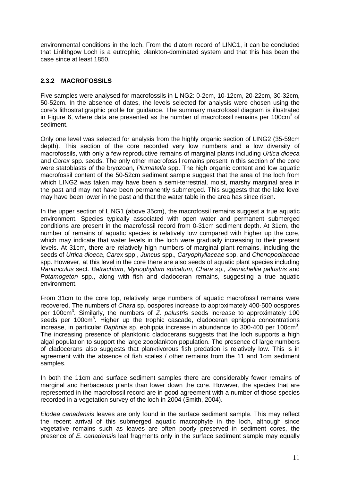environmental conditions in the loch. From the diatom record of LING1, it can be concluded that Linlithgow Loch is a eutrophic, plankton-dominated system and that this has been the case since at least 1850.

## **2.3.2 MACROFOSSILS**

Five samples were analysed for macrofossils in LING2: 0-2cm, 10-12cm, 20-22cm, 30-32cm, 50-52cm. In the absence of dates, the levels selected for analysis were chosen using the core's lithostratigraphic profile for guidance. The summary macrofossil diagram is illustrated in Figure 6, where data are presented as the number of macrofossil remains per 100cm<sup>3</sup> of sediment.

Only one level was selected for analysis from the highly organic section of LING2 (35-59cm depth). This section of the core recorded very low numbers and a low diversity of macrofossils, with only a few reproductive remains of marginal plants including Urtica dioeca and Carex spp. seeds. The only other macrofossil remains present in this section of the core were statoblasts of the bryozoan, Plumatella spp. The high organic content and low aquatic macrofossil content of the 50-52cm sediment sample suggest that the area of the loch from which LING2 was taken may have been a semi-terrestrial, moist, marshy marginal area in the past and may not have been permanently submerged. This suggests that the lake level may have been lower in the past and that the water table in the area has since risen.

In the upper section of LING1 (above 35cm), the macrofossil remains suggest a true aquatic environment. Species typically associated with open water and permanent submerged conditions are present in the macrofossil record from 0-31cm sediment depth. At 31cm, the number of remains of aquatic species is relatively low compared with higher up the core, which may indicate that water levels in the loch were gradually increasing to their present levels. At 31cm, there are relatively high numbers of marginal plant remains, including the seeds of Urtica dioeca, Carex spp., Juncus spp., Caryophyllaceae spp. and Chenopodiaceae spp. However, at this level in the core there are also seeds of aquatic plant species including Ranunculus sect. Batrachium, Myriophyllum spicatum, Chara sp., Zannichellia palustris and Potamogeton spp., along with fish and cladoceran remains, suggesting a true aquatic environment.

From 31cm to the core top, relatively large numbers of aquatic macrofossil remains were recovered. The numbers of Chara sp. oospores increase to approximately 400-500 oospores per 100cm<sup>3</sup>. Similarly, the numbers of Z. palustris seeds increase to approximately 100 seeds per 100cm<sup>3</sup>. Higher up the trophic cascade, cladoceran ephippia concentrations increase, in particular Daphnia sp. ephippia increase in abundance to 300-400 per 100cm<sup>3</sup>. The increasing presence of planktonic cladocerans suggests that the loch supports a high algal population to support the large zooplankton population. The presence of large numbers of cladocerans also suggests that planktivorous fish predation is relatively low. This is in agreement with the absence of fish scales / other remains from the 11 and 1cm sediment samples.

In both the 11cm and surface sediment samples there are considerably fewer remains of marginal and herbaceous plants than lower down the core. However, the species that are represented in the macrofossil record are in good agreement with a number of those species recorded in a vegetation survey of the loch in 2004 (Smith, 2004).

Elodea canadensis leaves are only found in the surface sediment sample. This may reflect the recent arrival of this submerged aquatic macrophyte in the loch, although since vegetative remains such as leaves are often poorly preserved in sediment cores, the presence of E. canadensis leaf fragments only in the surface sediment sample may equally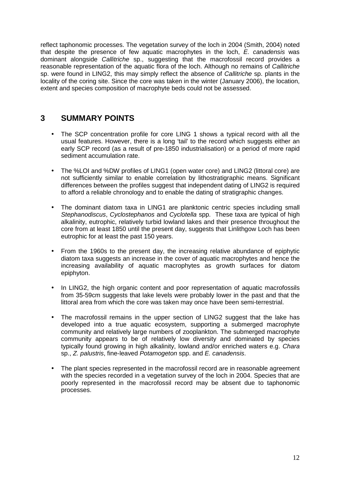reflect taphonomic processes. The vegetation survey of the loch in 2004 (Smith, 2004) noted that despite the presence of few aquatic macrophytes in the loch, E. canadensis was dominant alongside Callitriche sp., suggesting that the macrofossil record provides a reasonable representation of the aquatic flora of the loch. Although no remains of Callitriche sp. were found in LING2, this may simply reflect the absence of Callitriche sp. plants in the locality of the coring site. Since the core was taken in the winter (January 2006), the location, extent and species composition of macrophyte beds could not be assessed.

# **3 SUMMARY POINTS**

- The SCP concentration profile for core LING 1 shows a typical record with all the usual features. However, there is a long 'tail' to the record which suggests either an early SCP record (as a result of pre-1850 industrialisation) or a period of more rapid sediment accumulation rate.
- The %LOI and %DW profiles of LING1 (open water core) and LING2 (littoral core) are not sufficiently similar to enable correlation by lithostratigraphic means. Significant differences between the profiles suggest that independent dating of LING2 is required to afford a reliable chronology and to enable the dating of stratigraphic changes.
- The dominant diatom taxa in LING1 are planktonic centric species including small Stephanodiscus, Cyclostephanos and Cyclotella spp. These taxa are typical of high alkalinity, eutrophic, relatively turbid lowland lakes and their presence throughout the core from at least 1850 until the present day, suggests that Linlithgow Loch has been eutrophic for at least the past 150 years.
- From the 1960s to the present day, the increasing relative abundance of epiphytic diatom taxa suggests an increase in the cover of aquatic macrophytes and hence the increasing availability of aquatic macrophytes as growth surfaces for diatom epiphyton.
- In LING2, the high organic content and poor representation of aquatic macrofossils from 35-59cm suggests that lake levels were probably lower in the past and that the littoral area from which the core was taken may once have been semi-terrestrial.
- The macrofossil remains in the upper section of LING2 suggest that the lake has developed into a true aquatic ecosystem, supporting a submerged macrophyte community and relatively large numbers of zooplankton. The submerged macrophyte community appears to be of relatively low diversity and dominated by species typically found growing in high alkalinity, lowland and/or enriched waters e.g. Chara sp., Z. palustris, fine-leaved Potamogeton spp. and E. canadensis.
- The plant species represented in the macrofossil record are in reasonable agreement with the species recorded in a vegetation survey of the loch in 2004. Species that are poorly represented in the macrofossil record may be absent due to taphonomic processes.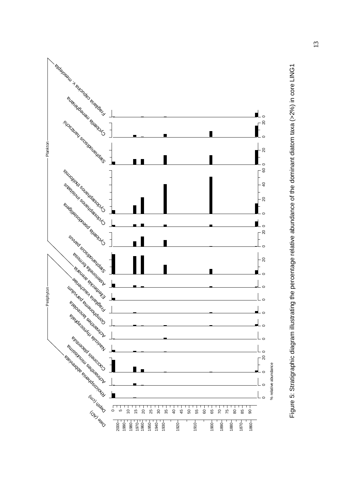

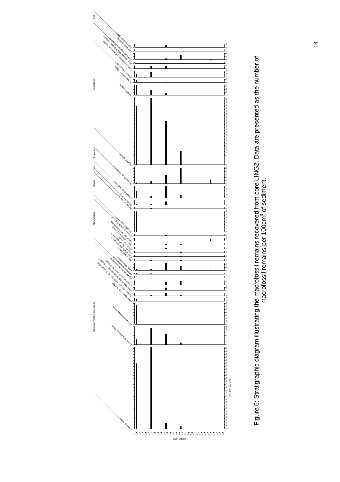



14